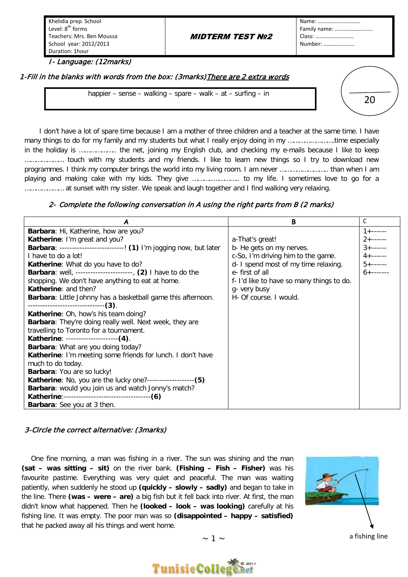Khelidia prep. School Level: 8<sup>th</sup> forms Teachers: Mrs. Ben Moussa School year: 2012/2013 Duration: 1hour

#### MIDTERM TEST Nº2

Name: ………………………… Family name: ……………………… Class: ……………………… Number: ………………….

I- Language: (12marks)

1-Fill in the blanks with words from the box: (3marks) There are 2 extra words

happier – sense – walking – spare – walk – at – surfing – in

20

 I don't have a lot of spare time because I am a mother of three children and a teacher at the same time. I have many things to do for my family and my students but what I really enjoy doing in my …………………….time especially in the holiday is ……………….. the net, joining my English club, and checking my e-mails because I like to keep ………………… touch with my students and my friends. I like to learn new things so I try to download new programmes. I think my computer brings the world into my living room. I am never …………………….. than when I am playing and making cake with my kids. They give ………..………….. to my life. I sometimes love to go for a ………………… at sunset with my sister. We speak and laugh together and I find walking very relaxing.

#### 2- Complete the following conversation in A using the right parts from B (2 marks)

| Α                                                                   | B                                         | C                 |
|---------------------------------------------------------------------|-------------------------------------------|-------------------|
| Barbara: Hi, Katherine, how are you?                                |                                           | $1 + - - - - - -$ |
| Katherine: I'm great and you?                                       | a-That's great!                           |                   |
| Barbara: --------------------------! (1) I'm jogging now, but later | b- He gets on my nerves.                  | $3 + \cdots$      |
| I have to do a lot!                                                 | c-So, I'm driving him to the game.        | $4 + - - - - - -$ |
| Katherine: What do you have to do?                                  | d- I spend most of my time relaxing.      | $5 + \cdots$      |
| Barbara: well, ----------------------, (2) I have to do the         | e-first of all                            | $6 + \cdots$      |
| shopping. We don't have anything to eat at home.                    | f- I'd like to have so many things to do. |                   |
| <b>Katherine: and then?</b>                                         | g- very busy                              |                   |
| Barbara: Little Johnny has a basketball game this afternoon.        | H- Of course. I would.                    |                   |
| --------------------------------(3).                                |                                           |                   |
| Katherine: Oh, how's his team doing?                                |                                           |                   |
| Barbara: They're doing really well. Next week, they are             |                                           |                   |
| travelling to Toronto for a tournament.                             |                                           |                   |
| Katherine: ---------------------(4).                                |                                           |                   |
| Barbara: What are you doing today?                                  |                                           |                   |
| Katherine: I'm meeting some friends for lunch. I don't have         |                                           |                   |
| much to do today.                                                   |                                           |                   |
| Barbara: You are so lucky!                                          |                                           |                   |
| Katherine: No, you are the lucky one?-------------------(5)         |                                           |                   |
| Barbara: would you join us and watch Jonny's match?                 |                                           |                   |
|                                                                     |                                           |                   |
| Barbara: See you at 3 then.                                         |                                           |                   |

#### 3-Circle the correct alternative: (3marks)

 fishing line. It was empty. The poor man was so **(disappointed – happy – satisfied)** One fine morning, a man was fishing in a river. The sun was shining and the man **(sat – was sitting – sit)** on the river bank. **(Fishing – Fish – Fisher)** was his favourite pastime. Everything was very quiet and peaceful. The man was waiting patiently, when suddenly he stood up **(quickly – slowly – sadly)** and began to take in the line. There **(was – were – are)** a big fish but it fell back into river. At first, the man didn't know what happened. Then he **(looked – look – was looking)** carefully at his that he packed away all his things and went home.



a fishing line



# **TunisieColle**